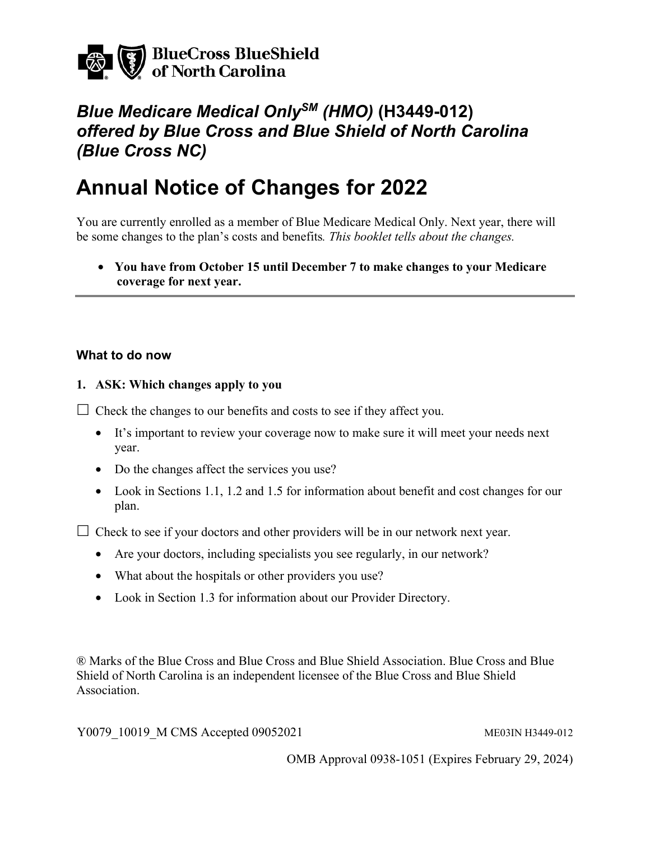

## *Blue Medicare Medical OnlySM (HMO)* **(H3449-012)**  *offered by Blue Cross and Blue Shield of North Carolina (Blue Cross NC)*

# **Annual Notice of Changes for 2022**

You are currently enrolled as a member of Blue Medicare Medical Only. Next year, there will be some changes to the plan's costs and benefits*. This booklet tells about the changes.* 

• **You have from October 15 until December 7 to make changes to your Medicare coverage for next year.** 

#### **What to do now**

#### **1. ASK: Which changes apply to you**

 $\Box$  Check the changes to our benefits and costs to see if they affect you.

- It's important to review your coverage now to make sure it will meet your needs next year.
- Do the changes affect the services you use?
- Look in Sections 1.1, 1.2 and 1.5 for information about benefit and cost changes for our plan.

 $\Box$  Check to see if your doctors and other providers will be in our network next year.

- Are your doctors, including specialists you see regularly, in our network?
- What about the hospitals or other providers you use?
- Look in Section 1.3 for information about our Provider Directory.

® Marks of the Blue Cross and Blue Cross and Blue Shield Association. Blue Cross and Blue Shield of North Carolina is an independent licensee of the Blue Cross and Blue Shield Association.

Y0079 10019 M CMS Accepted 09052021 ME03IN H3449-012

OMB Approval 0938-1051 (Expires February 29, 2024)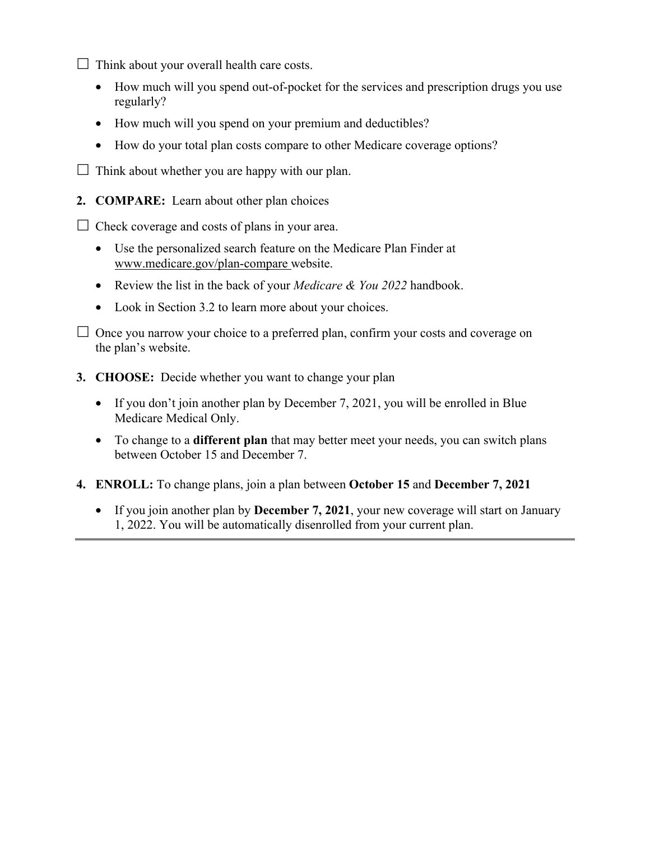$\Box$  Think about your overall health care costs.

- How much will you spend out-of-pocket for the services and prescription drugs you use regularly?
- How much will you spend on your premium and deductibles?
- How do your total plan costs compare to other Medicare coverage options?

 $\Box$  Think about whether you are happy with our plan.

**2. COMPARE:** Learn about other plan choices

 $\Box$  Check coverage and costs of plans in your area.

- Use the personalized search feature on the Medicare Plan Finder at www.medicare.gov/plan-compare website.
- Review the list in the back of your *Medicare & You 2022* handbook.
- Look in Section 3.2 to learn more about your choices.

 $\Box$  Once you narrow your choice to a preferred plan, confirm your costs and coverage on the plan's website.

- **3. CHOOSE:** Decide whether you want to change your plan
	- If you don't join another plan by December 7, 2021, you will be enrolled in Blue Medicare Medical Only.
	- between October 15 and December 7. • To change to a **different plan** that may better meet your needs, you can switch plans
- **4. ENROLL:** To change plans, join a plan between **October 15** and **December 7, 2021** 
	- If you join another plan by **December 7, 2021**, your new coverage will start on January 1, 2022. You will be automatically disenrolled from your current plan.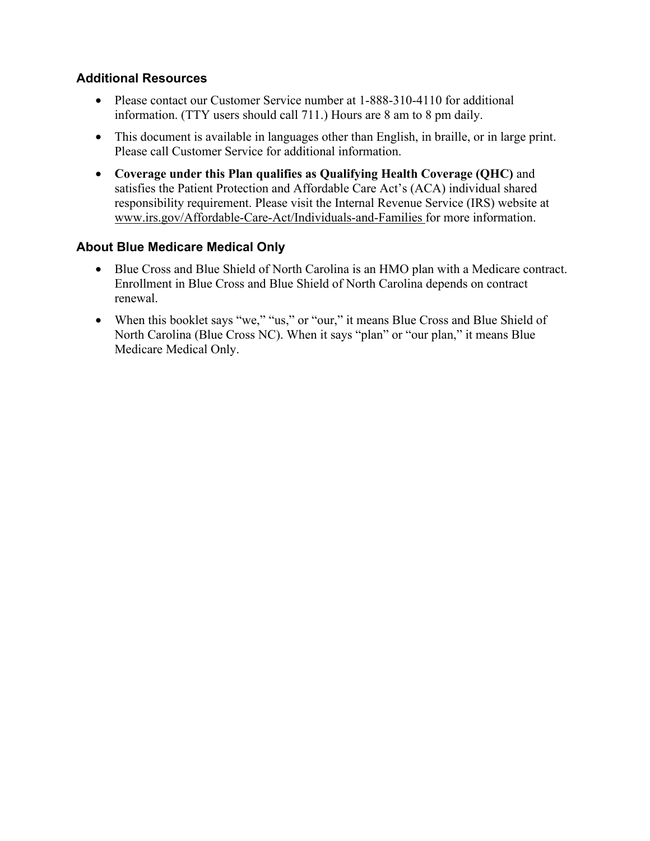#### **Additional Resources**

- Please contact our Customer Service number at 1-888-310-4110 for additional information. (TTY users should call 711.) Hours are 8 am to 8 pm daily.
- This document is available in languages other than English, in braille, or in large print. Please call Customer Service for additional information.
- **Coverage under this Plan qualifies as Qualifying Health Coverage (QHC)** and satisfies the Patient Protection and Affordable Care Act's (ACA) individual shared responsibility requirement. Please visit the Internal Revenue Service (IRS) website at www.irs.gov/Affordable-Care-Act/Individuals-and-Families for more information.

#### **About Blue Medicare Medical Only**

- Blue Cross and Blue Shield of North Carolina is an HMO plan with a Medicare contract. Enrollment in Blue Cross and Blue Shield of North Carolina depends on contract renewal.
- When this booklet says "we," "us," or "our," it means Blue Cross and Blue Shield of North Carolina (Blue Cross NC). When it says "plan" or "our plan," it means Blue Medicare Medical Only.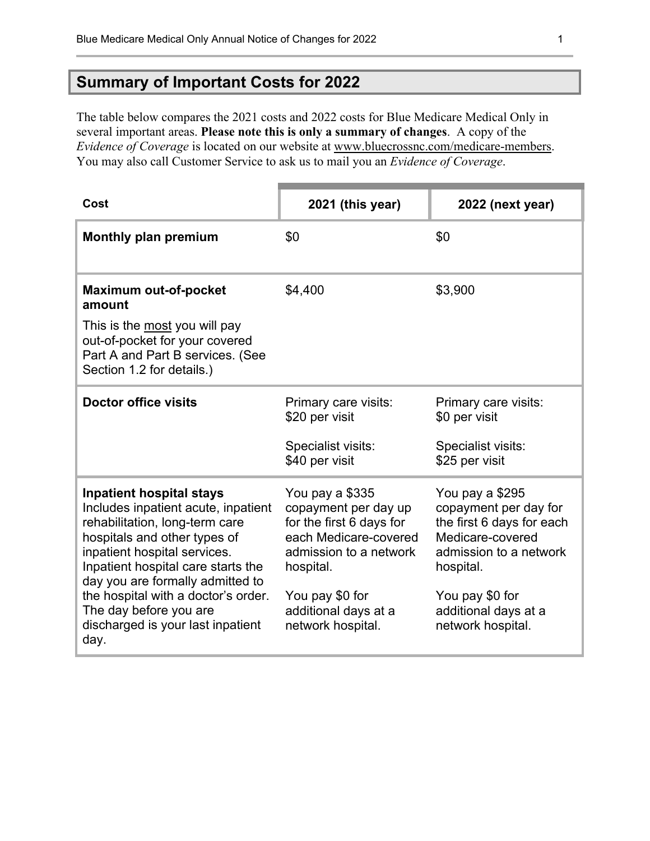## **Summary of Important Costs for 2022**

The table below compares the 2021 costs and 2022 costs for Blue Medicare Medical Only in several important areas. **Please note this is only a summary of changes**. A copy of the *Evidence of Coverage* is located on our website at www.bluecrossnc.com/medicare-members. You may also call Customer Service to ask us to mail you an *Evidence of Coverage*.

| Cost                                                                                                                                                                                                                                                                                                                                                             | 2021 (this year)                                                                                                                                                                                    | 2022 (next year)                                                                                                                                                                                 |
|------------------------------------------------------------------------------------------------------------------------------------------------------------------------------------------------------------------------------------------------------------------------------------------------------------------------------------------------------------------|-----------------------------------------------------------------------------------------------------------------------------------------------------------------------------------------------------|--------------------------------------------------------------------------------------------------------------------------------------------------------------------------------------------------|
| <b>Monthly plan premium</b>                                                                                                                                                                                                                                                                                                                                      | \$0                                                                                                                                                                                                 | \$0                                                                                                                                                                                              |
| <b>Maximum out-of-pocket</b><br>amount                                                                                                                                                                                                                                                                                                                           | \$4,400                                                                                                                                                                                             | \$3,900                                                                                                                                                                                          |
| This is the most you will pay<br>out-of-pocket for your covered<br>Part A and Part B services. (See<br>Section 1.2 for details.)                                                                                                                                                                                                                                 |                                                                                                                                                                                                     |                                                                                                                                                                                                  |
| <b>Doctor office visits</b>                                                                                                                                                                                                                                                                                                                                      | Primary care visits:<br>\$20 per visit                                                                                                                                                              | Primary care visits:<br>\$0 per visit                                                                                                                                                            |
|                                                                                                                                                                                                                                                                                                                                                                  | Specialist visits:<br>\$40 per visit                                                                                                                                                                | Specialist visits:<br>\$25 per visit                                                                                                                                                             |
| <b>Inpatient hospital stays</b><br>Includes inpatient acute, inpatient<br>rehabilitation, long-term care<br>hospitals and other types of<br>inpatient hospital services.<br>Inpatient hospital care starts the<br>day you are formally admitted to<br>the hospital with a doctor's order.<br>The day before you are<br>discharged is your last inpatient<br>day. | You pay a \$335<br>copayment per day up<br>for the first 6 days for<br>each Medicare-covered<br>admission to a network<br>hospital.<br>You pay \$0 for<br>additional days at a<br>network hospital. | You pay a \$295<br>copayment per day for<br>the first 6 days for each<br>Medicare-covered<br>admission to a network<br>hospital.<br>You pay \$0 for<br>additional days at a<br>network hospital. |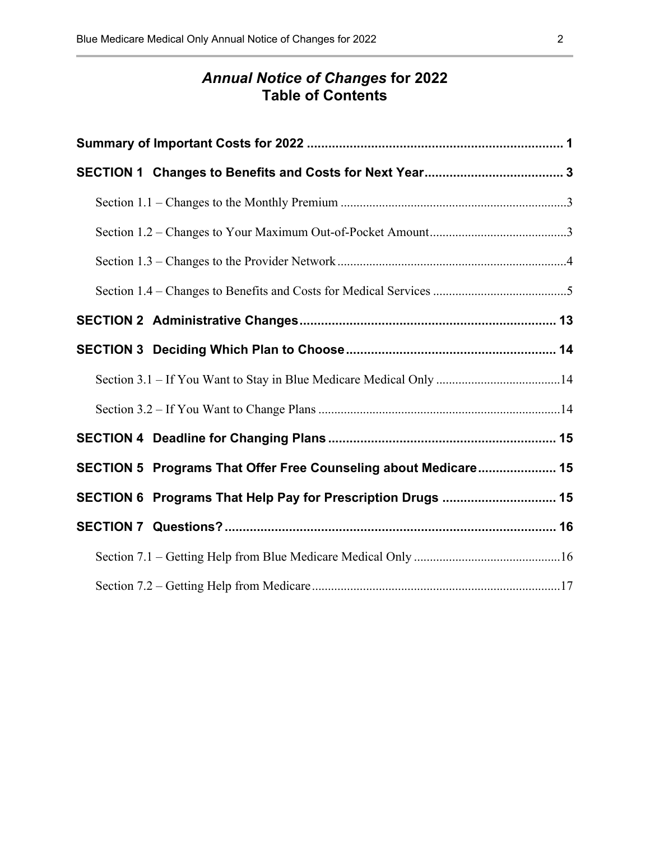#### *Annual Notice of Changes* **for 2022 Table of Contents**

| SECTION 5 Programs That Offer Free Counseling about Medicare 15 |  |
|-----------------------------------------------------------------|--|
| SECTION 6 Programs That Help Pay for Prescription Drugs  15     |  |
|                                                                 |  |
|                                                                 |  |
|                                                                 |  |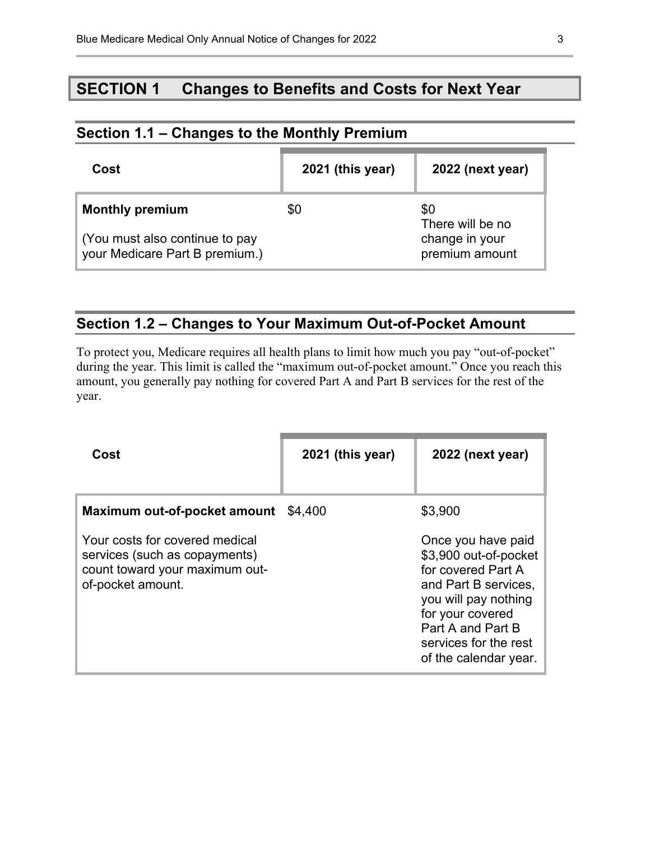## **SECTION 1 Changes to Benefits and Costs for Next Year**

| Section 1.1 – Changes to the Monthly Premium                     |                  |                                  |  |
|------------------------------------------------------------------|------------------|----------------------------------|--|
| Cost                                                             | 2021 (this year) | 2022 (next year)                 |  |
| <b>Monthly premium</b>                                           | \$0              | \$0<br>There will be no          |  |
| (You must also continue to pay<br>your Medicare Part B premium.) |                  | change in your<br>premium amount |  |

## **Section 1.2 – Changes to Your Maximum Out-of-Pocket Amount**

To protect you, Medicare requires all health plans to limit how much you pay "out-of-pocket" during the year. This limit is called the "maximum out-of-pocket amount." Once you reach this amount, you generally pay nothing for covered Part A and Part B services for the rest of the year.

| Cost                                                                                                                                                   | 2021 (this year) | 2022 (next year)                                                                                                                                                                                                        |
|--------------------------------------------------------------------------------------------------------------------------------------------------------|------------------|-------------------------------------------------------------------------------------------------------------------------------------------------------------------------------------------------------------------------|
| Maximum out-of-pocket amount<br>Your costs for covered medical<br>services (such as copayments)<br>count toward your maximum out-<br>of-pocket amount. | \$4,400          | \$3,900<br>Once you have paid<br>\$3,900 out-of-pocket<br>for covered Part A<br>and Part B services.<br>you will pay nothing<br>for your covered<br>Part A and Part B<br>services for the rest<br>of the calendar year. |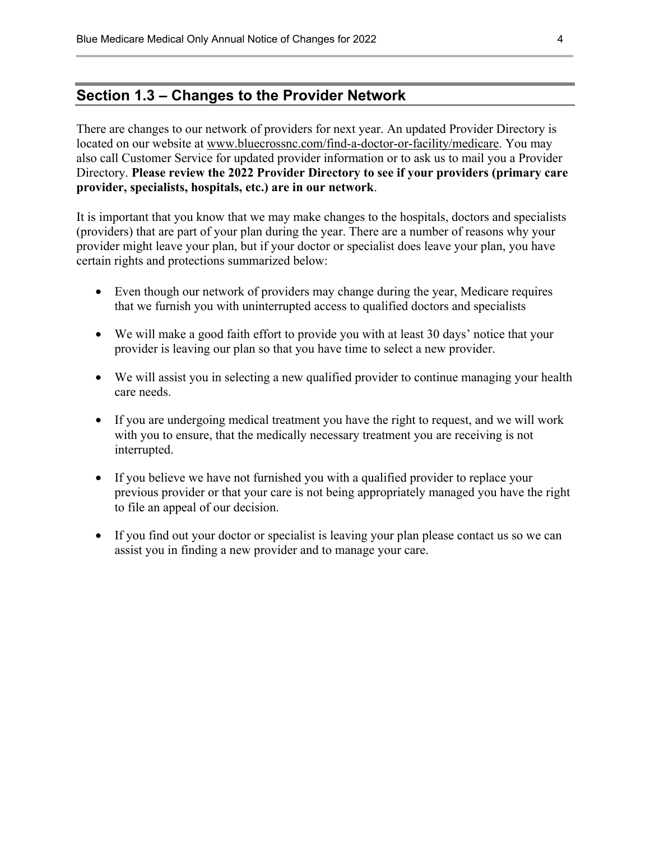#### **Section 1.3 – Changes to the Provider Network**

There are changes to our network of providers for next year. An updated Provider Directory is located on our website at www.bluecrossnc.com/find-a-doctor-or-facility/medicare. You may also call Customer Service for updated provider information or to ask us to mail you a Provider Directory. **Please review the 2022 Provider Directory to see if your providers (primary care provider, specialists, hospitals, etc.) are in our network**.

It is important that you know that we may make changes to the hospitals, doctors and specialists (providers) that are part of your plan during the year. There are a number of reasons why your provider might leave your plan, but if your doctor or specialist does leave your plan, you have certain rights and protections summarized below:

- Even though our network of providers may change during the year, Medicare requires that we furnish you with uninterrupted access to qualified doctors and specialists
- We will make a good faith effort to provide you with at least 30 days' notice that your provider is leaving our plan so that you have time to select a new provider.
- We will assist you in selecting a new qualified provider to continue managing your health care needs.
- If you are undergoing medical treatment you have the right to request, and we will work with you to ensure, that the medically necessary treatment you are receiving is not interrupted.
- If you believe we have not furnished you with a qualified provider to replace your previous provider or that your care is not being appropriately managed you have the right to file an appeal of our decision.
- If you find out your doctor or specialist is leaving your plan please contact us so we can assist you in finding a new provider and to manage your care.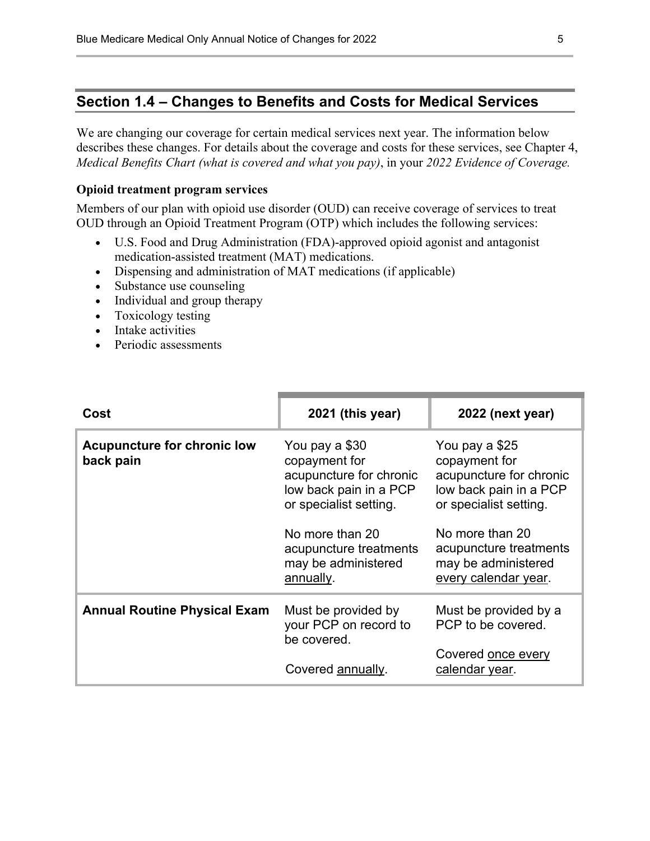#### **Section 1.4 – Changes to Benefits and Costs for Medical Services**

We are changing our coverage for certain medical services next year. The information below describes these changes. For details about the coverage and costs for these services, see Chapter 4, *Medical Benefits Chart (what is covered and what you pay)*, in your *2022 Evidence of Coverage.* 

#### **Opioid treatment program services**

Members of our plan with opioid use disorder (OUD) can receive coverage of services to treat OUD through an Opioid Treatment Program (OTP) which includes the following services:

- U.S. Food and Drug Administration (FDA)-approved opioid agonist and antagonist medication-assisted treatment (MAT) medications.
- Dispensing and administration of MAT medications (if applicable)
- Substance use counseling
- Individual and group therapy
- Toxicology testing
- Intake activities
- Periodic assessments

| Cost                                            | 2021 (this year)                                                                                                                                                                                | 2022 (next year)                                                                                                                                                                                           |
|-------------------------------------------------|-------------------------------------------------------------------------------------------------------------------------------------------------------------------------------------------------|------------------------------------------------------------------------------------------------------------------------------------------------------------------------------------------------------------|
| <b>Acupuncture for chronic low</b><br>back pain | You pay a \$30<br>copayment for<br>acupuncture for chronic<br>low back pain in a PCP<br>or specialist setting.<br>No more than 20<br>acupuncture treatments<br>may be administered<br>annually. | You pay a \$25<br>copayment for<br>acupuncture for chronic<br>low back pain in a PCP<br>or specialist setting.<br>No more than 20<br>acupuncture treatments<br>may be administered<br>every calendar year. |
| <b>Annual Routine Physical Exam</b>             | Must be provided by<br>your PCP on record to<br>be covered.<br>Covered annually.                                                                                                                | Must be provided by a<br>PCP to be covered.<br>Covered once every<br>calendar year.                                                                                                                        |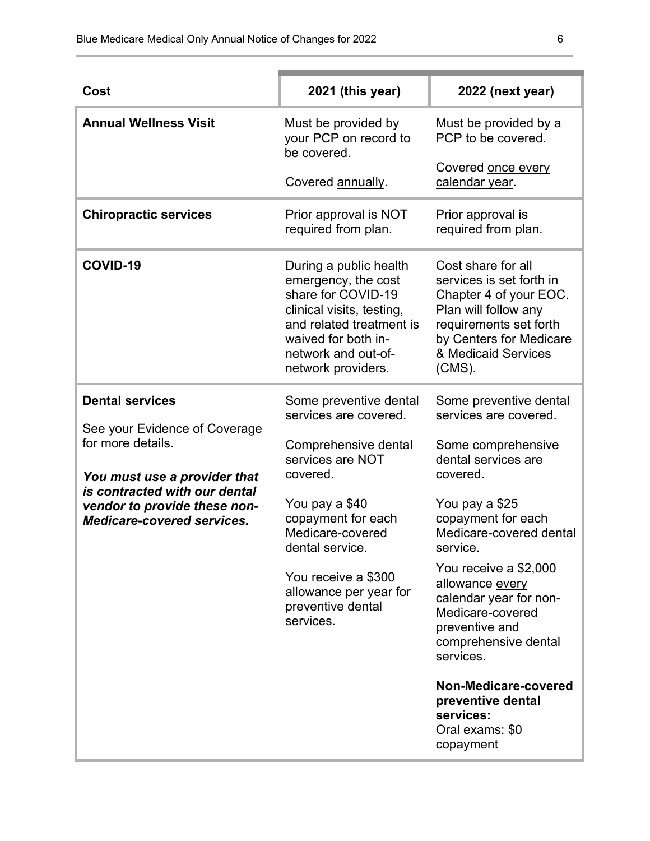| Cost                                                                                                                                                                                                               | 2021 (this year)                                                                                                                                                                                                                                                          | 2022 (next year)                                                                                                                                                                                                                                                                                                                                                                                                                   |
|--------------------------------------------------------------------------------------------------------------------------------------------------------------------------------------------------------------------|---------------------------------------------------------------------------------------------------------------------------------------------------------------------------------------------------------------------------------------------------------------------------|------------------------------------------------------------------------------------------------------------------------------------------------------------------------------------------------------------------------------------------------------------------------------------------------------------------------------------------------------------------------------------------------------------------------------------|
| <b>Annual Wellness Visit</b>                                                                                                                                                                                       | Must be provided by<br>your PCP on record to<br>be covered.                                                                                                                                                                                                               | Must be provided by a<br>PCP to be covered.                                                                                                                                                                                                                                                                                                                                                                                        |
|                                                                                                                                                                                                                    | Covered annually.                                                                                                                                                                                                                                                         | Covered once every<br>calendar year.                                                                                                                                                                                                                                                                                                                                                                                               |
| <b>Chiropractic services</b>                                                                                                                                                                                       | Prior approval is NOT<br>required from plan.                                                                                                                                                                                                                              | Prior approval is<br>required from plan.                                                                                                                                                                                                                                                                                                                                                                                           |
| COVID-19                                                                                                                                                                                                           | During a public health<br>emergency, the cost<br>share for COVID-19<br>clinical visits, testing,<br>and related treatment is<br>waived for both in-<br>network and out-of-<br>network providers.                                                                          | Cost share for all<br>services is set forth in<br>Chapter 4 of your EOC.<br>Plan will follow any<br>requirements set forth<br>by Centers for Medicare<br>& Medicaid Services<br>$(CMS)$ .                                                                                                                                                                                                                                          |
| <b>Dental services</b><br>See your Evidence of Coverage<br>for more details.<br>You must use a provider that<br>is contracted with our dental<br>vendor to provide these non-<br><b>Medicare-covered services.</b> | Some preventive dental<br>services are covered.<br>Comprehensive dental<br>services are NOT<br>covered.<br>You pay a \$40<br>copayment for each<br>Medicare-covered<br>dental service.<br>You receive a \$300<br>allowance per year for<br>preventive dental<br>services. | Some preventive dental<br>services are covered.<br>Some comprehensive<br>dental services are<br>covered.<br>You pay a \$25<br>copayment for each<br>Medicare-covered dental<br>service.<br>You receive a \$2,000<br>allowance every<br>calendar year for non-<br>Medicare-covered<br>preventive and<br>comprehensive dental<br>services.<br>Non-Medicare-covered<br>preventive dental<br>services:<br>Oral exams: \$0<br>copayment |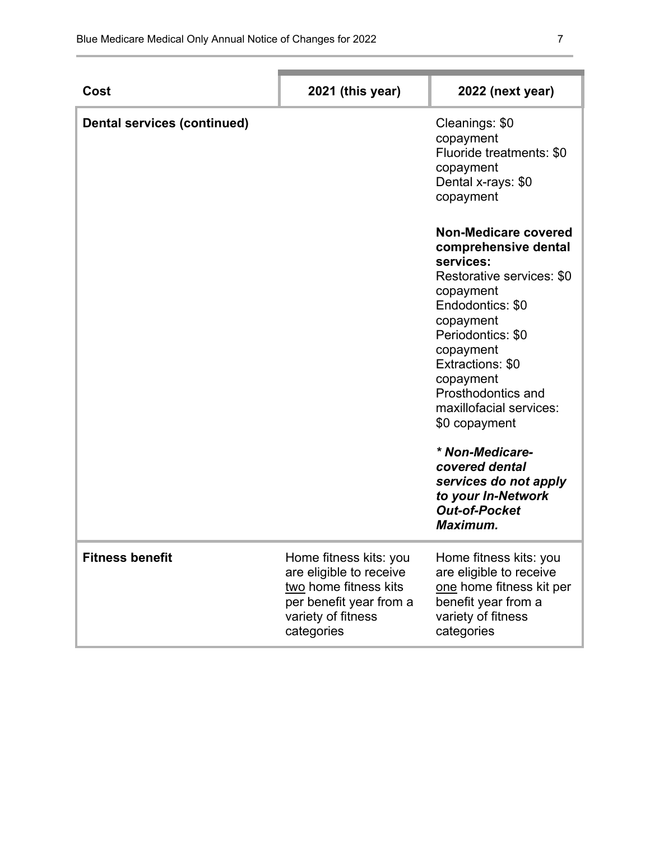| Cost                               | 2021 (this year)                                                                                                                          | 2022 (next year)                                                                                                                                                                                                                                                          |
|------------------------------------|-------------------------------------------------------------------------------------------------------------------------------------------|---------------------------------------------------------------------------------------------------------------------------------------------------------------------------------------------------------------------------------------------------------------------------|
| <b>Dental services (continued)</b> |                                                                                                                                           | Cleanings: \$0<br>copayment<br>Fluoride treatments: \$0<br>copayment<br>Dental x-rays: \$0<br>copayment                                                                                                                                                                   |
|                                    |                                                                                                                                           | Non-Medicare covered<br>comprehensive dental<br>services:<br>Restorative services: \$0<br>copayment<br>Endodontics: \$0<br>copayment<br>Periodontics: \$0<br>copayment<br>Extractions: \$0<br>copayment<br>Prosthodontics and<br>maxillofacial services:<br>\$0 copayment |
|                                    |                                                                                                                                           | * Non-Medicare-<br>covered dental<br>services do not apply<br>to your In-Network<br><b>Out-of-Pocket</b><br>Maximum.                                                                                                                                                      |
| <b>Fitness benefit</b>             | Home fitness kits: you<br>are eligible to receive<br>two home fitness kits<br>per benefit year from a<br>variety of fitness<br>categories | Home fitness kits: you<br>are eligible to receive<br>one home fitness kit per<br>benefit year from a<br>variety of fitness<br>categories                                                                                                                                  |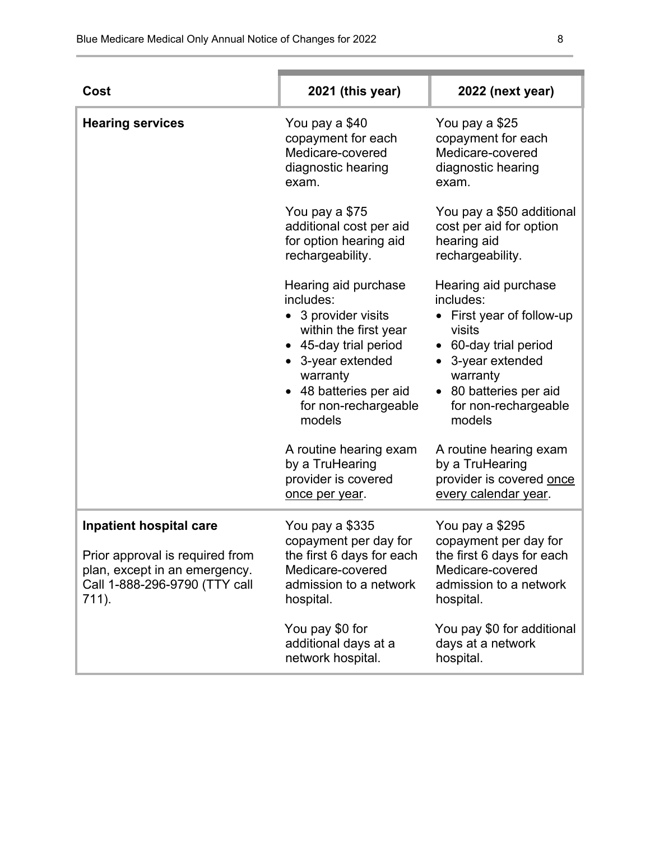| Cost                                                                                                                                         | 2021 (this year)                                                                                                                                                                                    | 2022 (next year)                                                                                                                                                                         |
|----------------------------------------------------------------------------------------------------------------------------------------------|-----------------------------------------------------------------------------------------------------------------------------------------------------------------------------------------------------|------------------------------------------------------------------------------------------------------------------------------------------------------------------------------------------|
| <b>Hearing services</b>                                                                                                                      | You pay a \$40<br>copayment for each<br>Medicare-covered<br>diagnostic hearing<br>exam.                                                                                                             | You pay a \$25<br>copayment for each<br>Medicare-covered<br>diagnostic hearing<br>exam.                                                                                                  |
|                                                                                                                                              | You pay a \$75<br>additional cost per aid<br>for option hearing aid<br>rechargeability.                                                                                                             | You pay a \$50 additional<br>cost per aid for option<br>hearing aid<br>rechargeability.                                                                                                  |
|                                                                                                                                              | Hearing aid purchase<br>includes:<br>3 provider visits<br>within the first year<br>• 45-day trial period<br>• 3-year extended<br>warranty<br>48 batteries per aid<br>for non-rechargeable<br>models | Hearing aid purchase<br>includes:<br>First year of follow-up<br>visits<br>• 60-day trial period<br>3-year extended<br>warranty<br>80 batteries per aid<br>for non-rechargeable<br>models |
|                                                                                                                                              | A routine hearing exam<br>by a TruHearing<br>provider is covered<br>once per year.                                                                                                                  | A routine hearing exam<br>by a TruHearing<br>provider is covered once<br>every calendar year.                                                                                            |
| <b>Inpatient hospital care</b><br>Prior approval is required from<br>plan, except in an emergency.<br>Call 1-888-296-9790 (TTY call<br>711). | You pay a \$335<br>copayment per day for<br>the first 6 days for each<br>Medicare-covered<br>admission to a network<br>hospital.                                                                    | You pay a \$295<br>copayment per day for<br>the first 6 days for each<br>Medicare-covered<br>admission to a network<br>hospital.                                                         |
|                                                                                                                                              | You pay \$0 for<br>additional days at a<br>network hospital.                                                                                                                                        | You pay \$0 for additional<br>days at a network<br>hospital.                                                                                                                             |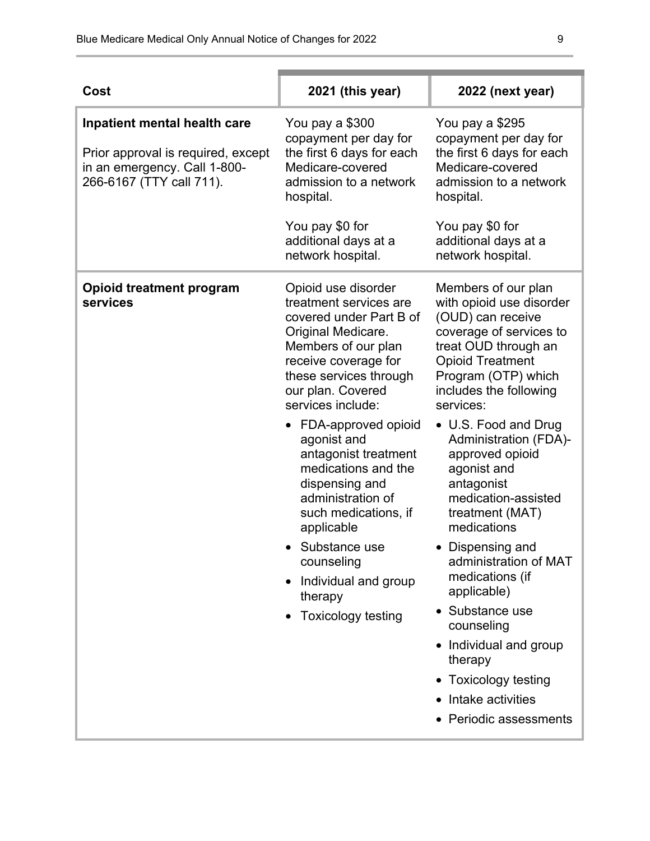| Cost                                                                                                                           | 2021 (this year)                                                                                                                                                                                                                                                                                                                                                                                                                                                                                | 2022 (next year)                                                                                                                                                                                                                                                                                                                                                                                                                                                                                                                                                                                        |
|--------------------------------------------------------------------------------------------------------------------------------|-------------------------------------------------------------------------------------------------------------------------------------------------------------------------------------------------------------------------------------------------------------------------------------------------------------------------------------------------------------------------------------------------------------------------------------------------------------------------------------------------|---------------------------------------------------------------------------------------------------------------------------------------------------------------------------------------------------------------------------------------------------------------------------------------------------------------------------------------------------------------------------------------------------------------------------------------------------------------------------------------------------------------------------------------------------------------------------------------------------------|
| Inpatient mental health care<br>Prior approval is required, except<br>in an emergency. Call 1-800-<br>266-6167 (TTY call 711). | You pay a \$300<br>copayment per day for<br>the first 6 days for each<br>Medicare-covered<br>admission to a network<br>hospital.<br>You pay \$0 for<br>additional days at a<br>network hospital.                                                                                                                                                                                                                                                                                                | You pay a \$295<br>copayment per day for<br>the first 6 days for each<br>Medicare-covered<br>admission to a network<br>hospital.<br>You pay \$0 for<br>additional days at a<br>network hospital.                                                                                                                                                                                                                                                                                                                                                                                                        |
| <b>Opioid treatment program</b><br>services                                                                                    | Opioid use disorder<br>treatment services are<br>covered under Part B of<br>Original Medicare.<br>Members of our plan<br>receive coverage for<br>these services through<br>our plan. Covered<br>services include:<br>FDA-approved opioid<br>$\bullet$<br>agonist and<br>antagonist treatment<br>medications and the<br>dispensing and<br>administration of<br>such medications, if<br>applicable<br>Substance use<br>counseling<br>Individual and group<br>therapy<br><b>Toxicology testing</b> | Members of our plan<br>with opioid use disorder<br>(OUD) can receive<br>coverage of services to<br>treat OUD through an<br><b>Opioid Treatment</b><br>Program (OTP) which<br>includes the following<br>services:<br>• U.S. Food and Drug<br><b>Administration (FDA)-</b><br>approved opioid<br>agonist and<br>antagonist<br>medication-assisted<br>treatment (MAT)<br>medications<br>Dispensing and<br>administration of MAT<br>medications (if<br>applicable)<br>Substance use<br>counseling<br>Individual and group<br>therapy<br>• Toxicology testing<br>Intake activities<br>• Periodic assessments |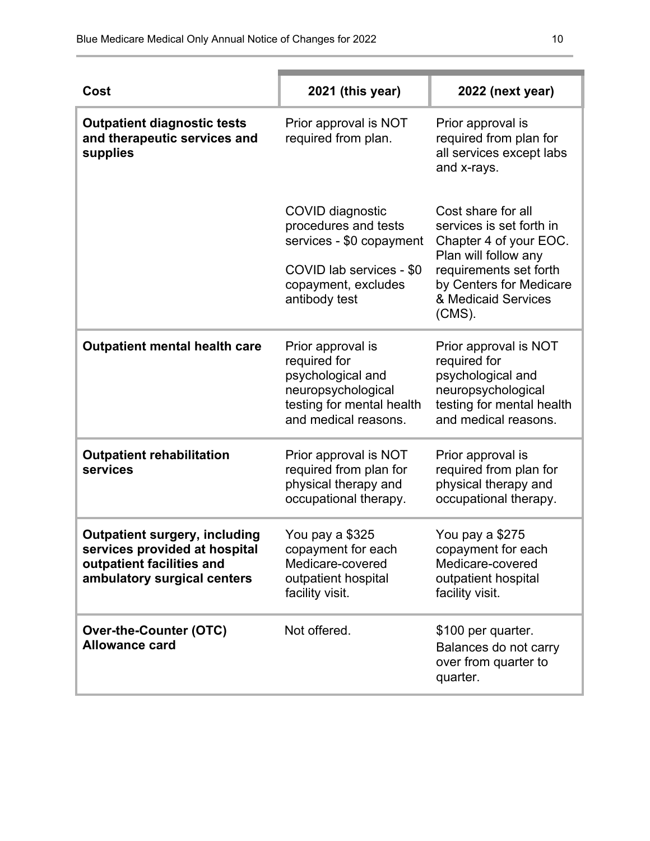| Cost                                                                                                                              | 2021 (this year)                                                                                                                         | 2022 (next year)                                                                                                                                                                          |
|-----------------------------------------------------------------------------------------------------------------------------------|------------------------------------------------------------------------------------------------------------------------------------------|-------------------------------------------------------------------------------------------------------------------------------------------------------------------------------------------|
| <b>Outpatient diagnostic tests</b><br>and therapeutic services and<br>supplies                                                    | Prior approval is NOT<br>required from plan.                                                                                             | Prior approval is<br>required from plan for<br>all services except labs<br>and x-rays.                                                                                                    |
|                                                                                                                                   | COVID diagnostic<br>procedures and tests<br>services - \$0 copayment<br>COVID lab services - \$0<br>copayment, excludes<br>antibody test | Cost share for all<br>services is set forth in<br>Chapter 4 of your EOC.<br>Plan will follow any<br>requirements set forth<br>by Centers for Medicare<br>& Medicaid Services<br>$(CMS)$ . |
| <b>Outpatient mental health care</b>                                                                                              | Prior approval is<br>required for<br>psychological and<br>neuropsychological<br>testing for mental health<br>and medical reasons.        | Prior approval is NOT<br>required for<br>psychological and<br>neuropsychological<br>testing for mental health<br>and medical reasons.                                                     |
| <b>Outpatient rehabilitation</b><br>services                                                                                      | Prior approval is NOT<br>required from plan for<br>physical therapy and<br>occupational therapy.                                         | Prior approval is<br>required from plan for<br>physical therapy and<br>occupational therapy.                                                                                              |
| <b>Outpatient surgery, including</b><br>services provided at hospital<br>outpatient facilities and<br>ambulatory surgical centers | You pay a \$325<br>copayment for each<br>Medicare-covered<br>outpatient hospital<br>facility visit.                                      | You pay a \$275<br>copayment for each<br>Medicare-covered<br>outpatient hospital<br>facility visit.                                                                                       |
| <b>Over-the-Counter (OTC)</b><br><b>Allowance card</b>                                                                            | Not offered.                                                                                                                             | \$100 per quarter.<br>Balances do not carry<br>over from quarter to<br>quarter.                                                                                                           |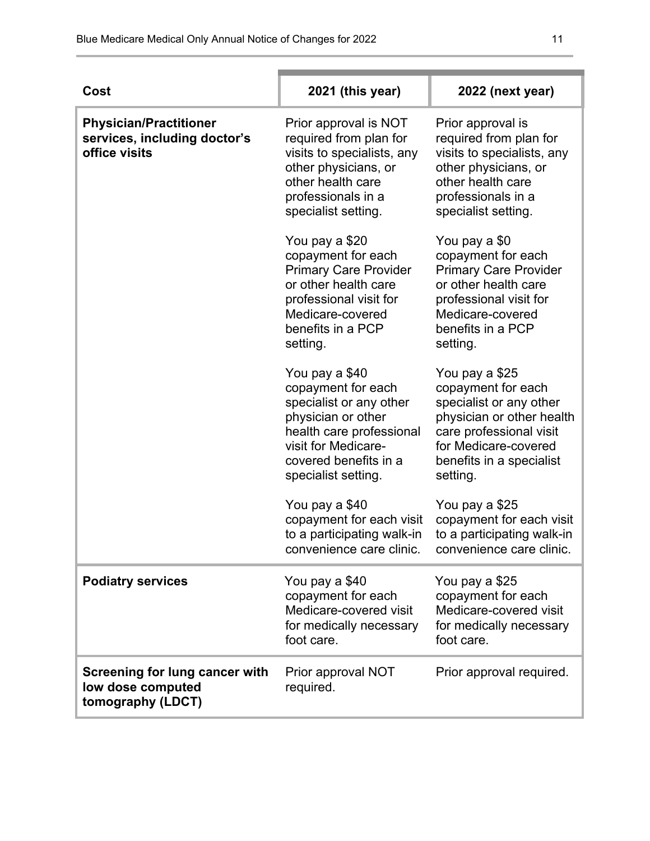| Cost                                                                           | 2021 (this year)                                                                                                                                                                         | 2022 (next year)                                                                                                                                                                        |
|--------------------------------------------------------------------------------|------------------------------------------------------------------------------------------------------------------------------------------------------------------------------------------|-----------------------------------------------------------------------------------------------------------------------------------------------------------------------------------------|
| <b>Physician/Practitioner</b><br>services, including doctor's<br>office visits | Prior approval is NOT<br>required from plan for<br>visits to specialists, any<br>other physicians, or<br>other health care<br>professionals in a<br>specialist setting.                  | Prior approval is<br>required from plan for<br>visits to specialists, any<br>other physicians, or<br>other health care<br>professionals in a<br>specialist setting.                     |
|                                                                                | You pay a \$20<br>copayment for each<br><b>Primary Care Provider</b><br>or other health care<br>professional visit for<br>Medicare-covered<br>benefits in a PCP<br>setting.              | You pay a \$0<br>copayment for each<br><b>Primary Care Provider</b><br>or other health care<br>professional visit for<br>Medicare-covered<br>benefits in a PCP<br>setting.              |
|                                                                                | You pay a \$40<br>copayment for each<br>specialist or any other<br>physician or other<br>health care professional<br>visit for Medicare-<br>covered benefits in a<br>specialist setting. | You pay a \$25<br>copayment for each<br>specialist or any other<br>physician or other health<br>care professional visit<br>for Medicare-covered<br>benefits in a specialist<br>setting. |
|                                                                                | You pay a \$40<br>copayment for each visit<br>to a participating walk-in<br>convenience care clinic.                                                                                     | You pay a \$25<br>copayment for each visit<br>to a participating walk-in<br>convenience care clinic.                                                                                    |
| <b>Podiatry services</b>                                                       | You pay a \$40<br>copayment for each<br>Medicare-covered visit<br>for medically necessary<br>foot care.                                                                                  | You pay a \$25<br>copayment for each<br>Medicare-covered visit<br>for medically necessary<br>foot care.                                                                                 |
| Screening for lung cancer with<br>low dose computed<br>tomography (LDCT)       | Prior approval NOT<br>required.                                                                                                                                                          | Prior approval required.                                                                                                                                                                |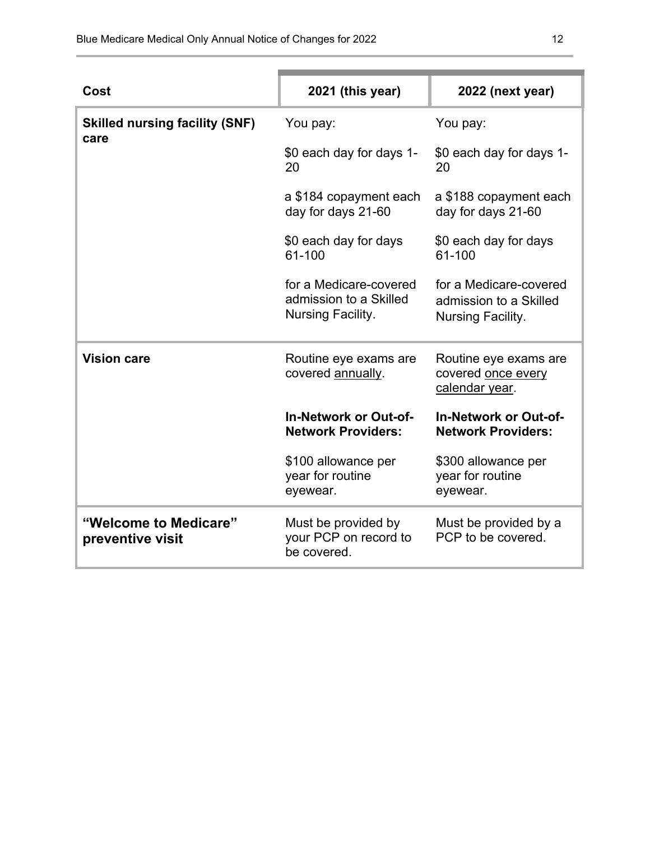| Cost                                          | 2021 (this year)                                                      | 2022 (next year)                                                      |
|-----------------------------------------------|-----------------------------------------------------------------------|-----------------------------------------------------------------------|
| <b>Skilled nursing facility (SNF)</b><br>care | You pay:                                                              | You pay:                                                              |
|                                               | \$0 each day for days 1-<br>20                                        | \$0 each day for days 1-<br>20                                        |
|                                               | a \$184 copayment each<br>day for days 21-60                          | a \$188 copayment each<br>day for days 21-60                          |
|                                               | \$0 each day for days<br>61-100                                       | \$0 each day for days<br>61-100                                       |
|                                               | for a Medicare-covered<br>admission to a Skilled<br>Nursing Facility. | for a Medicare-covered<br>admission to a Skilled<br>Nursing Facility. |
| <b>Vision care</b>                            | Routine eye exams are<br>covered annually.                            | Routine eye exams are<br>covered once every<br>calendar year.         |
|                                               | <b>In-Network or Out-of-</b><br><b>Network Providers:</b>             | <b>In-Network or Out-of-</b><br><b>Network Providers:</b>             |
|                                               | \$100 allowance per<br>year for routine<br>eyewear.                   | \$300 allowance per<br>year for routine<br>eyewear.                   |
| "Welcome to Medicare"<br>preventive visit     | Must be provided by<br>your PCP on record to<br>be covered.           | Must be provided by a<br>PCP to be covered.                           |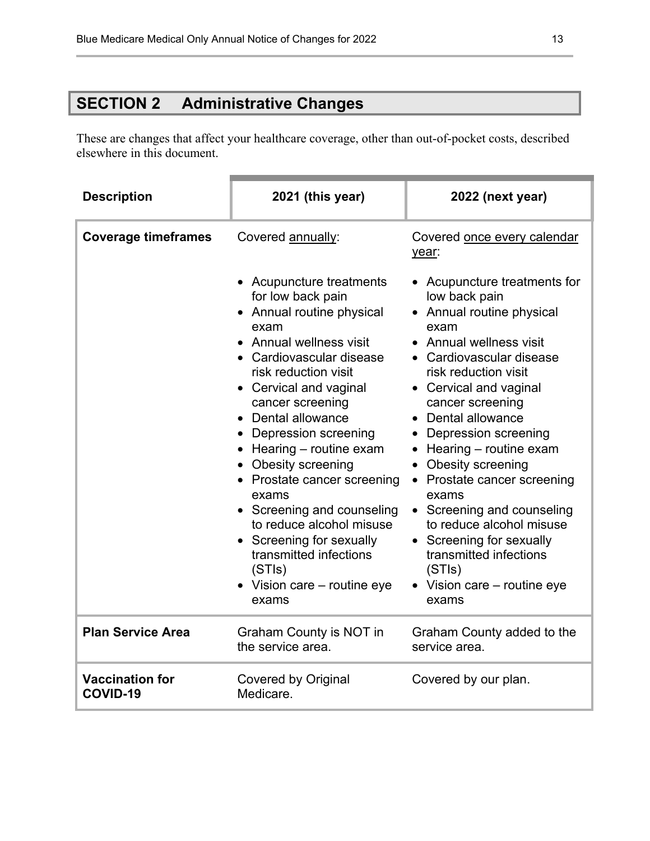# **SECTION 2 Administrative Changes**

These are changes that affect your healthcare coverage, other than out-of-pocket costs, described elsewhere in this document.

| <b>Description</b>                 | 2021 (this year)                                                                                                                                                                                                                                                                                                                                                                                                                                                                                                             | 2022 (next year)                                                                                                                                                                                                                                                                                                                                                                                                                                                                                                                                |
|------------------------------------|------------------------------------------------------------------------------------------------------------------------------------------------------------------------------------------------------------------------------------------------------------------------------------------------------------------------------------------------------------------------------------------------------------------------------------------------------------------------------------------------------------------------------|-------------------------------------------------------------------------------------------------------------------------------------------------------------------------------------------------------------------------------------------------------------------------------------------------------------------------------------------------------------------------------------------------------------------------------------------------------------------------------------------------------------------------------------------------|
| <b>Coverage timeframes</b>         | Covered annually:                                                                                                                                                                                                                                                                                                                                                                                                                                                                                                            | Covered once every calendar<br>year:                                                                                                                                                                                                                                                                                                                                                                                                                                                                                                            |
|                                    | • Acupuncture treatments<br>for low back pain<br>• Annual routine physical<br>exam<br>• Annual wellness visit<br>• Cardiovascular disease<br>risk reduction visit<br>• Cervical and vaginal<br>cancer screening<br>Dental allowance<br>Depression screening<br>$\bullet$ Hearing – routine exam<br>Obesity screening<br>• Prostate cancer screening<br>exams<br>• Screening and counseling<br>to reduce alcohol misuse<br>Screening for sexually<br>transmitted infections<br>(STIs)<br>• Vision care – routine eye<br>exams | • Acupuncture treatments for<br>low back pain<br>• Annual routine physical<br>exam<br>• Annual wellness visit<br>• Cardiovascular disease<br>risk reduction visit<br>• Cervical and vaginal<br>cancer screening<br>• Dental allowance<br>• Depression screening<br>$\bullet$ Hearing – routine exam<br>Obesity screening<br>$\bullet$<br>• Prostate cancer screening<br>exams<br>• Screening and counseling<br>to reduce alcohol misuse<br>• Screening for sexually<br>transmitted infections<br>(STIs)<br>• Vision care - routine eye<br>exams |
| <b>Plan Service Area</b>           | Graham County is NOT in<br>the service area.                                                                                                                                                                                                                                                                                                                                                                                                                                                                                 | Graham County added to the<br>service area.                                                                                                                                                                                                                                                                                                                                                                                                                                                                                                     |
| <b>Vaccination for</b><br>COVID-19 | <b>Covered by Original</b><br>Medicare.                                                                                                                                                                                                                                                                                                                                                                                                                                                                                      | Covered by our plan.                                                                                                                                                                                                                                                                                                                                                                                                                                                                                                                            |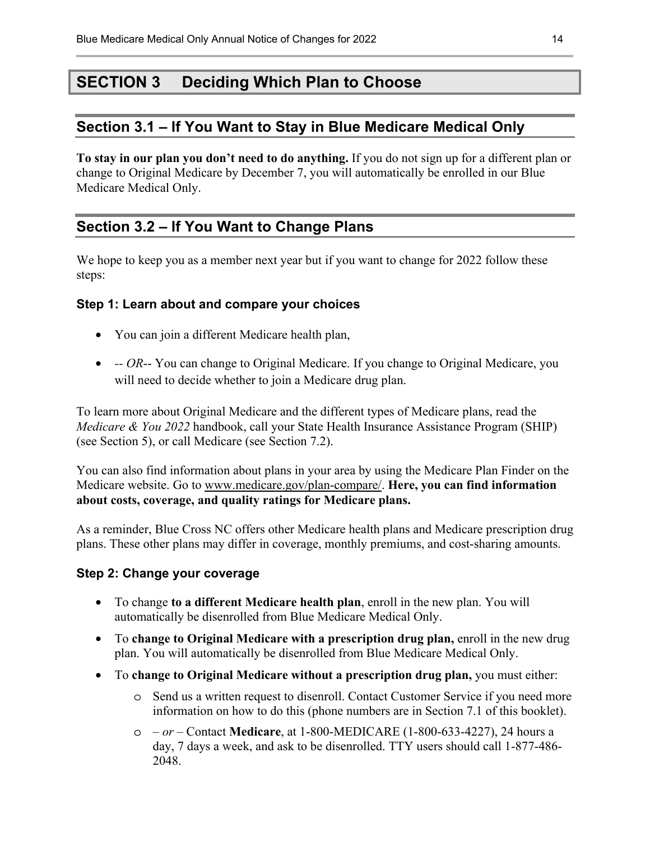## **SECTION 3 Deciding Which Plan to Choose**

### **Section 3.1 – If You Want to Stay in Blue Medicare Medical Only**

**To stay in our plan you don't need to do anything.** If you do not sign up for a different plan or change to Original Medicare by December 7, you will automatically be enrolled in our Blue Medicare Medical Only.

## **Section 3.2 – If You Want to Change Plans**

We hope to keep you as a member next year but if you want to change for 2022 follow these steps:

#### **Step 1: Learn about and compare your choices**

- You can join a different Medicare health plan,
- *-- OR*-- You can change to Original Medicare. If you change to Original Medicare, you will need to decide whether to join a Medicare drug plan.

To learn more about Original Medicare and the different types of Medicare plans, read the *Medicare & You 2022* handbook, call your State Health Insurance Assistance Program (SHIP) (see Section 5), or call Medicare (see Section 7.2).

 **about costs, coverage, and quality ratings for Medicare plans.** You can also find information about plans in your area by using the Medicare Plan Finder on the Medicare website. Go to www.medicare.gov/plan-compare/. **Here, you can find information** 

As a reminder, Blue Cross NC offers other Medicare health plans and Medicare prescription drug plans. These other plans may differ in coverage, monthly premiums, and cost-sharing amounts.

#### **Step 2: Change your coverage**

- To change **to a different Medicare health plan**, enroll in the new plan. You will automatically be disenrolled from Blue Medicare Medical Only.
- To **change to Original Medicare with a prescription drug plan,** enroll in the new drug plan. You will automatically be disenrolled from Blue Medicare Medical Only.
- To **change to Original Medicare without a prescription drug plan,** you must either:
	- o Send us a written request to disenroll. Contact Customer Service if you need more information on how to do this (phone numbers are in Section 7.1 of this booklet).
	- o  *or –* Contact **Medicare**, at 1-800-MEDICARE (1-800-633-4227), 24 hours a day, 7 days a week, and ask to be disenrolled. TTY users should call 1-877-486- 2048.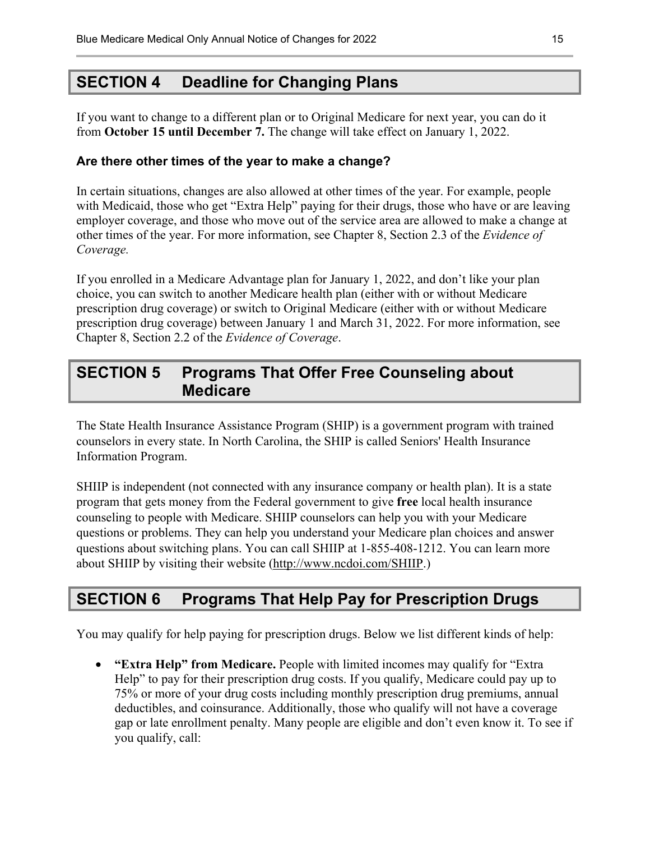## **SECTION 4 Deadline for Changing Plans**

If you want to change to a different plan or to Original Medicare for next year, you can do it from **October 15 until December 7.** The change will take effect on January 1, 2022.

#### **Are there other times of the year to make a change?**

In certain situations, changes are also allowed at other times of the year. For example, people with Medicaid, those who get "Extra Help" paying for their drugs, those who have or are leaving employer coverage, and those who move out of the service area are allowed to make a change at other times of the year. For more information, see Chapter 8, Section 2.3 of the *Evidence of Coverage.* 

If you enrolled in a Medicare Advantage plan for January 1, 2022, and don't like your plan choice, you can switch to another Medicare health plan (either with or without Medicare prescription drug coverage) or switch to Original Medicare (either with or without Medicare prescription drug coverage) between January 1 and March 31, 2022. For more information, see Chapter 8, Section 2.2 of the *Evidence of Coverage*.

## **SECTION 5 Programs That Offer Free Counseling about Medicare**

The State Health Insurance Assistance Program (SHIP) is a government program with trained counselors in every state. In North Carolina, the SHIP is called Seniors' Health Insurance Information Program.

SHIIP is independent (not connected with any insurance company or health plan). It is a state program that gets money from the Federal government to give **free** local health insurance counseling to people with Medicare. SHIIP counselors can help you with your Medicare questions or problems. They can help you understand your Medicare plan choices and answer questions about switching plans. You can call SHIIP at 1-855-408-1212. You can learn more about SHIIP by visiting their website (http://www.ncdoi.com/SHIIP.)

## **SECTION 6 Programs That Help Pay for Prescription Drugs**

You may qualify for help paying for prescription drugs. Below we list different kinds of help:

• **"Extra Help" from Medicare.** People with limited incomes may qualify for "Extra Help" to pay for their prescription drug costs. If you qualify, Medicare could pay up to 75% or more of your drug costs including monthly prescription drug premiums, annual deductibles, and coinsurance. Additionally, those who qualify will not have a coverage gap or late enrollment penalty. Many people are eligible and don't even know it. To see if you qualify, call: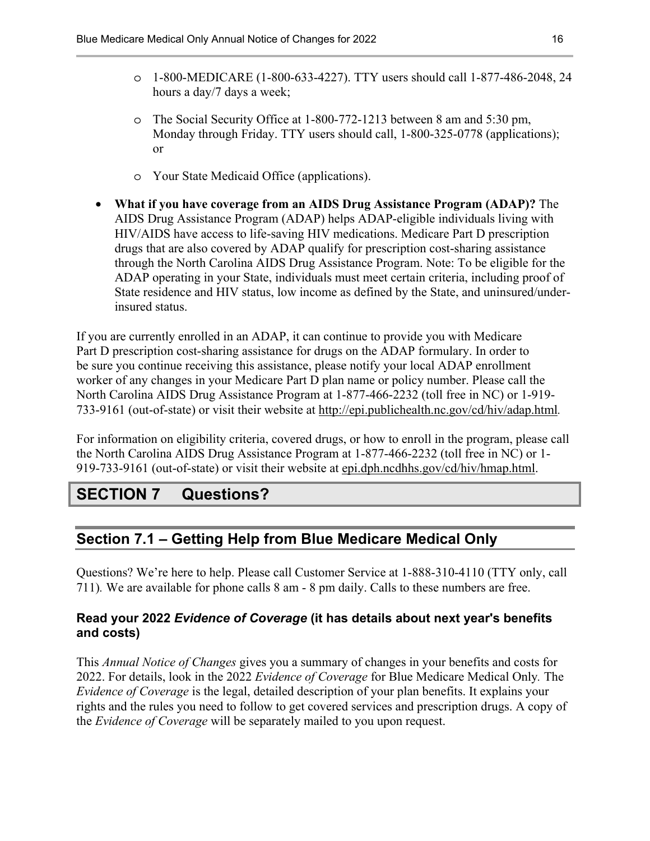- o 1-800-MEDICARE (1-800-633-4227). TTY users should call 1-877-486-2048, 24 hours a day/7 days a week;
- o The Social Security Office at 1-800-772-1213 between 8 am and 5:30 pm, Monday through Friday. TTY users should call, 1-800-325-0778 (applications); or
- o Your State Medicaid Office (applications).
- **What if you have coverage from an AIDS Drug Assistance Program (ADAP)?** The AIDS Drug Assistance Program (ADAP) helps ADAP-eligible individuals living with HIV/AIDS have access to life-saving HIV medications. Medicare Part D prescription drugs that are also covered by ADAP qualify for prescription cost-sharing assistance through the North Carolina AIDS Drug Assistance Program. Note: To be eligible for the ADAP operating in your State, individuals must meet certain criteria, including proof of State residence and HIV status, low income as defined by the State, and uninsured/underinsured status.

If you are currently enrolled in an ADAP, it can continue to provide you with Medicare Part D prescription cost-sharing assistance for drugs on the ADAP formulary. In order to be sure you continue receiving this assistance, please notify your local ADAP enrollment worker of any changes in your Medicare Part D plan name or policy number. Please call the North Carolina AIDS Drug Assistance Program at 1-877-466-2232 (toll free in NC) or 1-919- 733-9161 (out-of-state) or visit their website at http://epi.publichealth.nc.gov/cd/hiv/adap.html*.* 

For information on eligibility criteria, covered drugs, or how to enroll in the program, please call the North Carolina AIDS Drug Assistance Program at 1-877-466-2232 (toll free in NC) or 1- 919-733-9161 (out-of-state) or visit their website at epi.dph.ncdhhs.gov/cd/hiv/hmap.html.

## **SECTION 7 Questions?**

## **Section 7.1 – Getting Help from Blue Medicare Medical Only**

Questions? We're here to help. Please call Customer Service at 1-888-310-4110 (TTY only, call 711)*.* We are available for phone calls 8 am - 8 pm daily. Calls to these numbers are free.

#### **Read your 2022** *Evidence of Coverage* **(it has details about next year's benefits and costs)**

 the *Evidence of Coverage* will be separately mailed to you upon request. This *Annual Notice of Changes* gives you a summary of changes in your benefits and costs for 2022. For details, look in the 2022 *Evidence of Coverage* for Blue Medicare Medical Only*.* The *Evidence of Coverage* is the legal, detailed description of your plan benefits. It explains your rights and the rules you need to follow to get covered services and prescription drugs. A copy of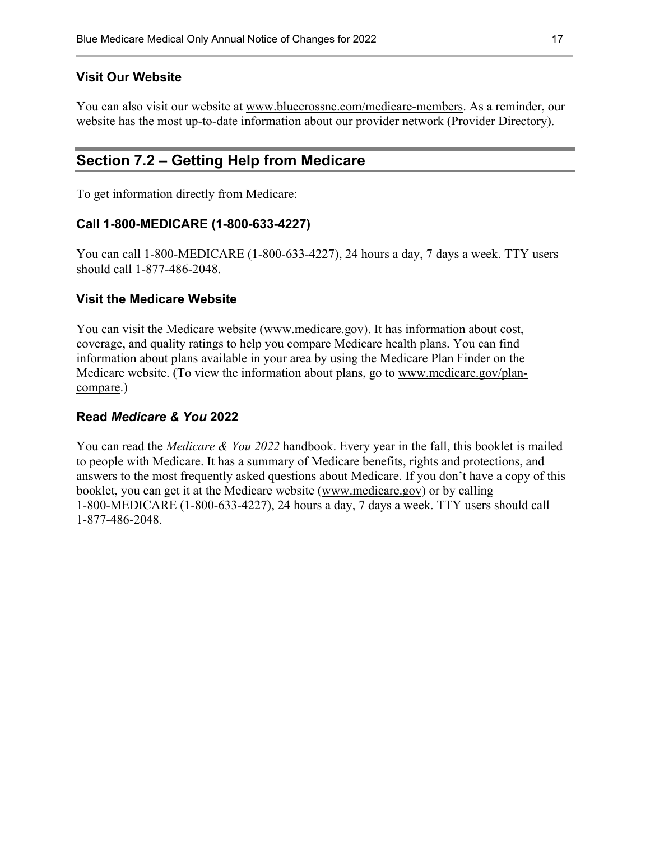#### **Visit Our Website**

You can also visit our website at www.bluecrossnc.com/medicare-members. As a reminder, our website has the most up-to-date information about our provider network (Provider Directory).

### **Section 7.2 – Getting Help from Medicare**

To get information directly from Medicare:

#### **Call 1-800-MEDICARE (1-800-633-4227)**

You can call 1-800-MEDICARE (1-800-633-4227), 24 hours a day, 7 days a week. TTY users should call 1-877-486-2048.

#### **Visit the Medicare Website**

You can visit the Medicare website (www.medicare.gov). It has information about cost, coverage, and quality ratings to help you compare Medicare health plans. You can find information about plans available in your area by using the Medicare Plan Finder on the Medicare website. (To view the information about plans, go to www.medicare.gov/plancompare.)

#### **Read** *Medicare & You* **2022**

You can read the *Medicare & You 2022* handbook. Every year in the fall, this booklet is mailed to people with Medicare. It has a summary of Medicare benefits, rights and protections, and answers to the most frequently asked questions about Medicare. If you don't have a copy of this booklet, you can get it at the Medicare website (www.medicare.gov) or by calling 1-800-MEDICARE (1-800-633-4227), 24 hours a day, 7 days a week. TTY users should call 1-877-486-2048.